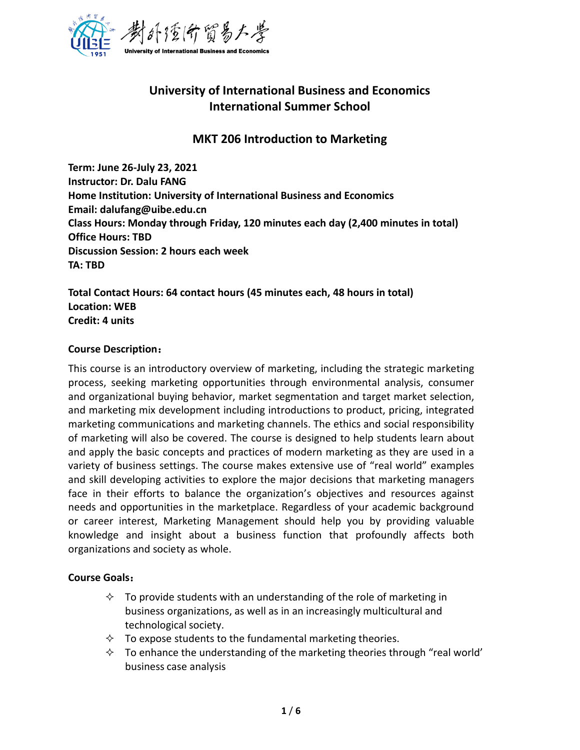

# **University of International Business and Economics International Summer School**

# **MKT 206 Introduction to Marketing**

**Term: June 26-July 23, 2021 Instructor: Dr. Dalu FANG Home Institution: University of International Business and Economics Email: dalufang@uibe.edu.cn Class Hours: Monday through Friday, 120 minutes each day (2,400 minutes in total) Office Hours: TBD Discussion Session: 2 hours each week TA: TBD**

**Total Contact Hours: 64 contact hours (45 minutes each, 48 hours in total) Location: WEB Credit: 4 units**

#### **Course Description**:

This course is an introductory overview of marketing, including the strategic marketing process, seeking marketing opportunities through environmental analysis, consumer and organizational buying behavior, market segmentation and target market selection, and marketing mix development including introductions to product, pricing, integrated marketing communications and marketing channels. The ethics and social responsibility of marketing will also be covered. The course is designed to help students learn about and apply the basic concepts and practices of modern marketing as they are used in a variety of business settings. The course makes extensive use of "real world" examples and skill developing activities to explore the major decisions that marketing managers face in their efforts to balance the organization's objectives and resources against needs and opportunities in the marketplace. Regardless of your academic background or career interest, Marketing Management should help you by providing valuable knowledge and insight about a business function that profoundly affects both organizations and society as whole.

#### **Course Goals**:

- $\Diamond$  To provide students with an understanding of the role of marketing in business organizations, as well as in an increasingly multicultural and technological society.
- $\Diamond$  To expose students to the fundamental marketing theories.
- $\Diamond$  To enhance the understanding of the marketing theories through "real world" business case analysis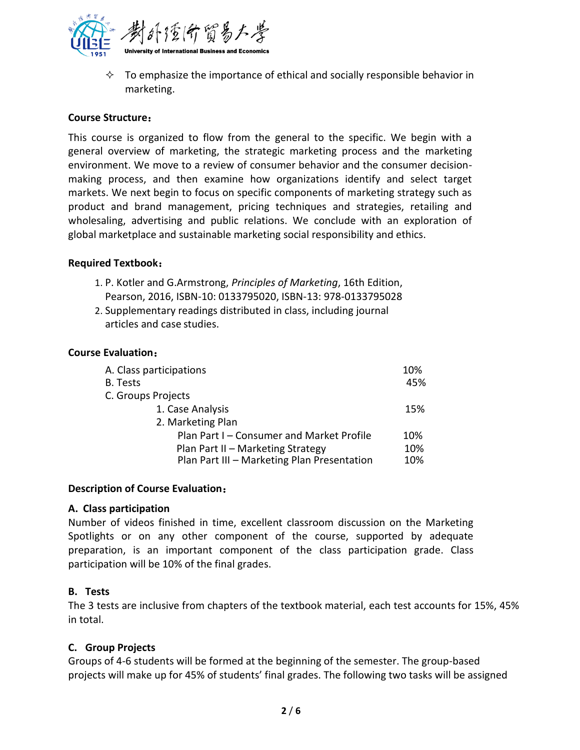

 $\diamond$  To emphasize the importance of ethical and socially responsible behavior in marketing.

### **Course Structure**:

This course is organized to flow from the general to the specific. We begin with a general overview of marketing, the strategic marketing process and the marketing environment. We move to a review of consumer behavior and the consumer decisionmaking process, and then examine how organizations identify and select target markets. We next begin to focus on specific components of marketing strategy such as product and brand management, pricing techniques and strategies, retailing and wholesaling, advertising and public relations. We conclude with an exploration of global marketplace and sustainable marketing social responsibility and ethics.

#### **Required Textbook**:

- 1. P. Kotler and G.Armstrong, *Principles of Marketing*, 16th Edition, Pearson, 2016, ISBN-10: 0133795020, ISBN-13: 978-0133795028
- 2. Supplementary readings distributed in class, including journal articles and case studies.

#### **Course Evaluation**:

| A. Class participations                     | 10% |
|---------------------------------------------|-----|
| B. Tests                                    | 45% |
| C. Groups Projects                          |     |
| 1. Case Analysis                            | 15% |
| 2. Marketing Plan                           |     |
| Plan Part I – Consumer and Market Profile   | 10% |
| Plan Part II - Marketing Strategy           | 10% |
| Plan Part III - Marketing Plan Presentation | 10% |

#### **Description of Course Evaluation**:

#### **A. Class participation**

Number of videos finished in time, excellent classroom discussion on the Marketing Spotlights or on any other component of the course, supported by adequate preparation, is an important component of the class participation grade. Class participation will be 10% of the final grades.

#### **B. Tests**

The 3 tests are inclusive from chapters of the textbook material, each test accounts for 15%, 45% in total.

#### **C. Group Projects**

Groups of 4-6 students will be formed at the beginning of the semester. The group-based projects will make up for 45% of students' final grades. The following two tasks will be assigned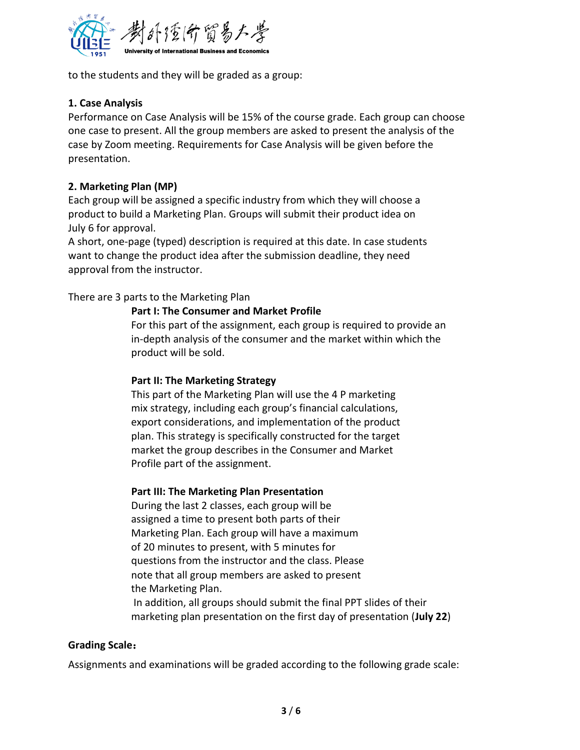

to the students and they will be graded as a group:

# **1. Case Analysis**

Performance on Case Analysis will be 15% of the course grade. Each group can choose one case to present. All the group members are asked to present the analysis of the case by Zoom meeting. Requirements for Case Analysis will be given before the presentation.

# **2. Marketing Plan (MP)**

Each group will be assigned a specific industry from which they will choose a product to build a Marketing Plan. Groups will submit their product idea on July 6 for approval.

A short, one-page (typed) description is required at this date. In case students want to change the product idea after the submission deadline, they need approval from the instructor.

# There are 3 parts to the Marketing Plan

#### **Part I: The Consumer and Market Profile**

For this part of the assignment, each group is required to provide an in-depth analysis of the consumer and the market within which the product will be sold.

#### **Part II: The Marketing Strategy**

This part of the Marketing Plan will use the 4 P marketing mix strategy, including each group's financial calculations, export considerations, and implementation of the product plan. This strategy is specifically constructed for the target market the group describes in the Consumer and Market Profile part of the assignment.

#### **Part III: The Marketing Plan Presentation**

During the last 2 classes, each group will be assigned a time to present both parts of their Marketing Plan. Each group will have a maximum of 20 minutes to present, with 5 minutes for questions from the instructor and the class. Please note that all group members are asked to present the Marketing Plan. In addition, all groups should submit the final PPT slides of their marketing plan presentation on the first day of presentation (**July 22**)

#### **Grading Scale**:

Assignments and examinations will be graded according to the following grade scale: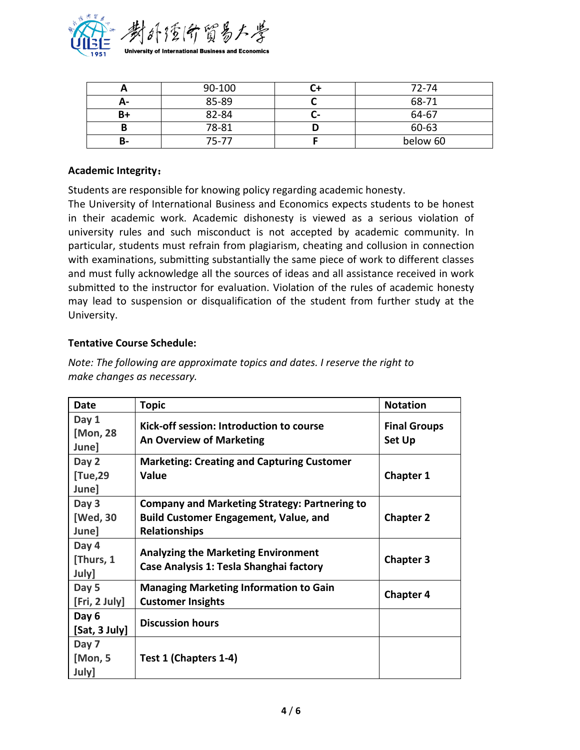

|    | 90-100 |      | 72-74    |
|----|--------|------|----------|
| А- | 85-89  |      | 68-71    |
| B+ | 82-84  | اسمه | 64-67    |
|    | 78-81  |      | 60-63    |
| в- | 75-77  |      | below 60 |

#### **Academic Integrity**:

Students are responsible for knowing policy regarding academic honesty.

The University of International Business and Economics expects students to be honest in their academic work. Academic dishonesty is viewed as a serious violation of university rules and such misconduct is not accepted by academic community. In particular, students must refrain from plagiarism, cheating and collusion in connection with examinations, submitting substantially the same piece of work to different classes and must fully acknowledge all the sources of ideas and all assistance received in work submitted to the instructor for evaluation. Violation of the rules of academic honesty may lead to suspension or disqualification of the student from further study at the University.

#### **Tentative Course Schedule:**

| Date                        | <b>Topic</b>                                                                                                                 | <b>Notation</b>                      |
|-----------------------------|------------------------------------------------------------------------------------------------------------------------------|--------------------------------------|
| Day 1<br>[Mon, 28<br>June]  | Kick-off session: Introduction to course<br><b>An Overview of Marketing</b>                                                  | <b>Final Groups</b><br><b>Set Up</b> |
| Day 2<br>[Tue,29<br>June]   | <b>Marketing: Creating and Capturing Customer</b><br><b>Value</b>                                                            | <b>Chapter 1</b>                     |
| Day 3<br>[Wed, 30<br>June]  | <b>Company and Marketing Strategy: Partnering to</b><br><b>Build Customer Engagement, Value, and</b><br><b>Relationships</b> | <b>Chapter 2</b>                     |
| Day 4<br>[Thurs, 1<br>July] | <b>Analyzing the Marketing Environment</b><br>Case Analysis 1: Tesla Shanghai factory                                        | <b>Chapter 3</b>                     |
| Day 5<br>[Fri, 2 July]      | <b>Managing Marketing Information to Gain</b><br><b>Customer Insights</b>                                                    | <b>Chapter 4</b>                     |
| Day 6<br>[Sat, 3 July]      | <b>Discussion hours</b>                                                                                                      |                                      |
| Day 7<br>[Mon, 5<br>July]   | Test 1 (Chapters 1-4)                                                                                                        |                                      |

*Note: The following are approximate topics and dates. I reserve the right to make changes as necessary.*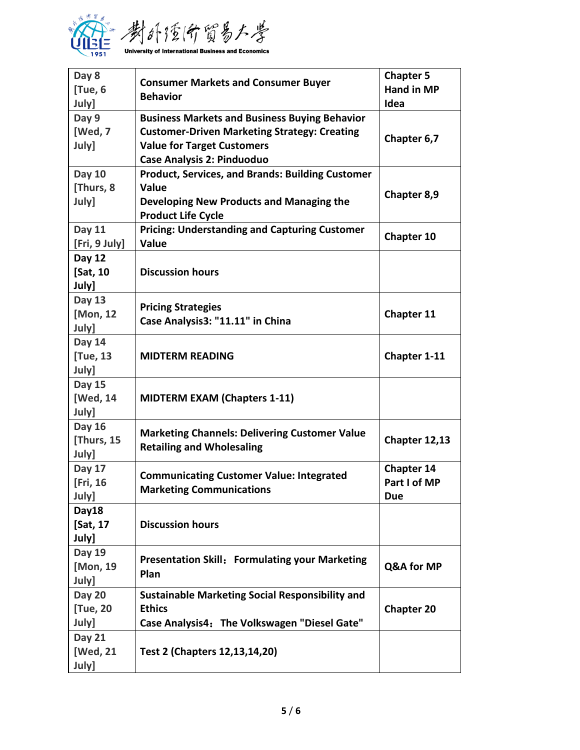

| Day 8<br>[Tue, 6          | <b>Consumer Markets and Consumer Buyer</b><br><b>Behavior</b> | <b>Chapter 5</b><br><b>Hand in MP</b> |
|---------------------------|---------------------------------------------------------------|---------------------------------------|
| July]                     |                                                               | Idea                                  |
| Day 9                     | <b>Business Markets and Business Buying Behavior</b>          |                                       |
| [Wed, 7                   | <b>Customer-Driven Marketing Strategy: Creating</b>           | Chapter 6,7                           |
| July]                     | <b>Value for Target Customers</b>                             |                                       |
|                           | <b>Case Analysis 2: Pinduoduo</b>                             |                                       |
| <b>Day 10</b>             | <b>Product, Services, and Brands: Building Customer</b>       |                                       |
| [Thurs, 8                 | Value                                                         | Chapter 8,9                           |
| July]                     | Developing New Products and Managing the                      |                                       |
|                           | <b>Product Life Cycle</b>                                     |                                       |
| <b>Day 11</b>             | <b>Pricing: Understanding and Capturing Customer</b>          | Chapter 10                            |
| [Fri, 9 July]             | Value                                                         |                                       |
| <b>Day 12</b>             |                                                               |                                       |
| [Sat, 10                  | <b>Discussion hours</b>                                       |                                       |
| July]                     |                                                               |                                       |
| <b>Day 13</b>             | <b>Pricing Strategies</b>                                     |                                       |
| [Mon, 12                  | Case Analysis3: "11.11" in China                              | Chapter 11                            |
| July]                     |                                                               |                                       |
| <b>Day 14</b>             |                                                               |                                       |
| [Tue, 13                  | <b>MIDTERM READING</b>                                        | Chapter 1-11                          |
| July]                     |                                                               |                                       |
| <b>Day 15</b>             |                                                               |                                       |
| [Wed, 14                  | <b>MIDTERM EXAM (Chapters 1-11)</b>                           |                                       |
| July]                     |                                                               |                                       |
| <b>Day 16</b>             | <b>Marketing Channels: Delivering Customer Value</b>          |                                       |
| [Thurs, 15                | <b>Retailing and Wholesaling</b>                              | Chapter 12,13                         |
| July]                     |                                                               |                                       |
| Day 17                    | <b>Communicating Customer Value: Integrated</b>               | Chapter 14<br>Part I of MP            |
| [Fri, 16                  | <b>Marketing Communications</b>                               |                                       |
| July]                     |                                                               | <b>Due</b>                            |
| Day18                     | <b>Discussion hours</b>                                       |                                       |
| [Sat, 17                  |                                                               |                                       |
| July]                     |                                                               |                                       |
| <b>Day 19</b><br>[Mon, 19 | <b>Presentation Skill: Formulating your Marketing</b>         | Q&A for MP                            |
| July]                     | Plan                                                          |                                       |
| <b>Day 20</b>             | <b>Sustainable Marketing Social Responsibility and</b>        |                                       |
| [Tue, 20                  | <b>Ethics</b>                                                 | <b>Chapter 20</b>                     |
| July]                     | Case Analysis4: The Volkswagen "Diesel Gate"                  |                                       |
| <b>Day 21</b>             |                                                               |                                       |
| [Wed, 21                  |                                                               |                                       |
|                           | Test 2 (Chapters 12,13,14,20)                                 |                                       |
| July]                     |                                                               |                                       |